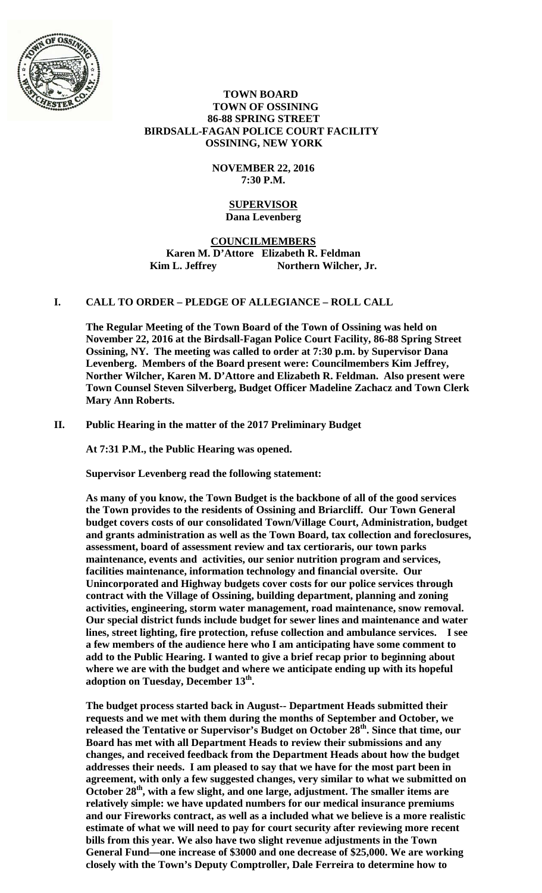

#### **TOWN BOARD TOWN OF OSSINING 86-88 SPRING STREET BIRDSALL-FAGAN POLICE COURT FACILITY OSSINING, NEW YORK**

## **NOVEMBER 22, 2016 7:30 P.M.**

#### **SUPERVISOR Dana Levenberg**

## **COUNCILMEMBERS Karen M. D'Attore Elizabeth R. Feldman**  Kim L. Jeffrey Northern Wilcher, Jr.

# **I. CALL TO ORDER – PLEDGE OF ALLEGIANCE – ROLL CALL**

**The Regular Meeting of the Town Board of the Town of Ossining was held on November 22, 2016 at the Birdsall-Fagan Police Court Facility, 86-88 Spring Street Ossining, NY. The meeting was called to order at 7:30 p.m. by Supervisor Dana Levenberg. Members of the Board present were: Councilmembers Kim Jeffrey, Norther Wilcher, Karen M. D'Attore and Elizabeth R. Feldman. Also present were Town Counsel Steven Silverberg, Budget Officer Madeline Zachacz and Town Clerk Mary Ann Roberts.** 

## **II. Public Hearing in the matter of the 2017 Preliminary Budget**

**At 7:31 P.M., the Public Hearing was opened.** 

**Supervisor Levenberg read the following statement:** 

**As many of you know, the Town Budget is the backbone of all of the good services the Town provides to the residents of Ossining and Briarcliff. Our Town General budget covers costs of our consolidated Town/Village Court, Administration, budget and grants administration as well as the Town Board, tax collection and foreclosures, assessment, board of assessment review and tax certioraris, our town parks maintenance, events and activities, our senior nutrition program and services, facilities maintenance, information technology and financial oversite. Our Unincorporated and Highway budgets cover costs for our police services through contract with the Village of Ossining, building department, planning and zoning activities, engineering, storm water management, road maintenance, snow removal. Our special district funds include budget for sewer lines and maintenance and water lines, street lighting, fire protection, refuse collection and ambulance services. I see a few members of the audience here who I am anticipating have some comment to add to the Public Hearing. I wanted to give a brief recap prior to beginning about where we are with the budget and where we anticipate ending up with its hopeful adoption on Tuesday, December 13th.** 

**The budget process started back in August-- Department Heads submitted their requests and we met with them during the months of September and October, we released the Tentative or Supervisor's Budget on October 28th. Since that time, our Board has met with all Department Heads to review their submissions and any changes, and received feedback from the Department Heads about how the budget addresses their needs. I am pleased to say that we have for the most part been in agreement, with only a few suggested changes, very similar to what we submitted on**  October 28<sup>th</sup>, with a few slight, and one large, adjustment. The smaller items are **relatively simple: we have updated numbers for our medical insurance premiums and our Fireworks contract, as well as a included what we believe is a more realistic estimate of what we will need to pay for court security after reviewing more recent bills from this year. We also have two slight revenue adjustments in the Town General Fund—one increase of \$3000 and one decrease of \$25,000. We are working closely with the Town's Deputy Comptroller, Dale Ferreira to determine how to**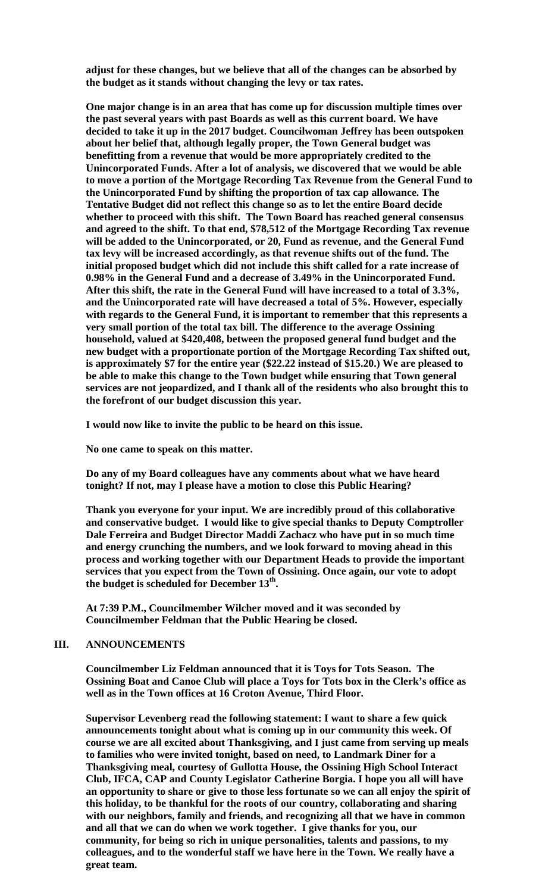**adjust for these changes, but we believe that all of the changes can be absorbed by the budget as it stands without changing the levy or tax rates.** 

**One major change is in an area that has come up for discussion multiple times over the past several years with past Boards as well as this current board. We have decided to take it up in the 2017 budget. Councilwoman Jeffrey has been outspoken about her belief that, although legally proper, the Town General budget was benefitting from a revenue that would be more appropriately credited to the Unincorporated Funds. After a lot of analysis, we discovered that we would be able to move a portion of the Mortgage Recording Tax Revenue from the General Fund to the Unincorporated Fund by shifting the proportion of tax cap allowance. The Tentative Budget did not reflect this change so as to let the entire Board decide whether to proceed with this shift. The Town Board has reached general consensus and agreed to the shift. To that end, \$78,512 of the Mortgage Recording Tax revenue will be added to the Unincorporated, or 20, Fund as revenue, and the General Fund tax levy will be increased accordingly, as that revenue shifts out of the fund. The initial proposed budget which did not include this shift called for a rate increase of 0.98% in the General Fund and a decrease of 3.49% in the Unincorporated Fund. After this shift, the rate in the General Fund will have increased to a total of 3.3%, and the Unincorporated rate will have decreased a total of 5%. However, especially with regards to the General Fund, it is important to remember that this represents a very small portion of the total tax bill. The difference to the average Ossining household, valued at \$420,408, between the proposed general fund budget and the new budget with a proportionate portion of the Mortgage Recording Tax shifted out, is approximately \$7 for the entire year (\$22.22 instead of \$15.20.) We are pleased to be able to make this change to the Town budget while ensuring that Town general services are not jeopardized, and I thank all of the residents who also brought this to the forefront of our budget discussion this year.** 

**I would now like to invite the public to be heard on this issue.** 

**No one came to speak on this matter.** 

**Do any of my Board colleagues have any comments about what we have heard tonight? If not, may I please have a motion to close this Public Hearing?** 

**Thank you everyone for your input. We are incredibly proud of this collaborative and conservative budget. I would like to give special thanks to Deputy Comptroller Dale Ferreira and Budget Director Maddi Zachacz who have put in so much time and energy crunching the numbers, and we look forward to moving ahead in this process and working together with our Department Heads to provide the important services that you expect from the Town of Ossining. Once again, our vote to adopt the budget is scheduled for December 13th.** 

**At 7:39 P.M., Councilmember Wilcher moved and it was seconded by Councilmember Feldman that the Public Hearing be closed.**

# **III. ANNOUNCEMENTS**

**Councilmember Liz Feldman announced that it is Toys for Tots Season. The Ossining Boat and Canoe Club will place a Toys for Tots box in the Clerk's office as well as in the Town offices at 16 Croton Avenue, Third Floor.** 

**Supervisor Levenberg read the following statement: I want to share a few quick announcements tonight about what is coming up in our community this week. Of course we are all excited about Thanksgiving, and I just came from serving up meals to families who were invited tonight, based on need, to Landmark Diner for a Thanksgiving meal, courtesy of Gullotta House, the Ossining High School Interact Club, IFCA, CAP and County Legislator Catherine Borgia. I hope you all will have an opportunity to share or give to those less fortunate so we can all enjoy the spirit of this holiday, to be thankful for the roots of our country, collaborating and sharing with our neighbors, family and friends, and recognizing all that we have in common and all that we can do when we work together. I give thanks for you, our community, for being so rich in unique personalities, talents and passions, to my colleagues, and to the wonderful staff we have here in the Town. We really have a great team.**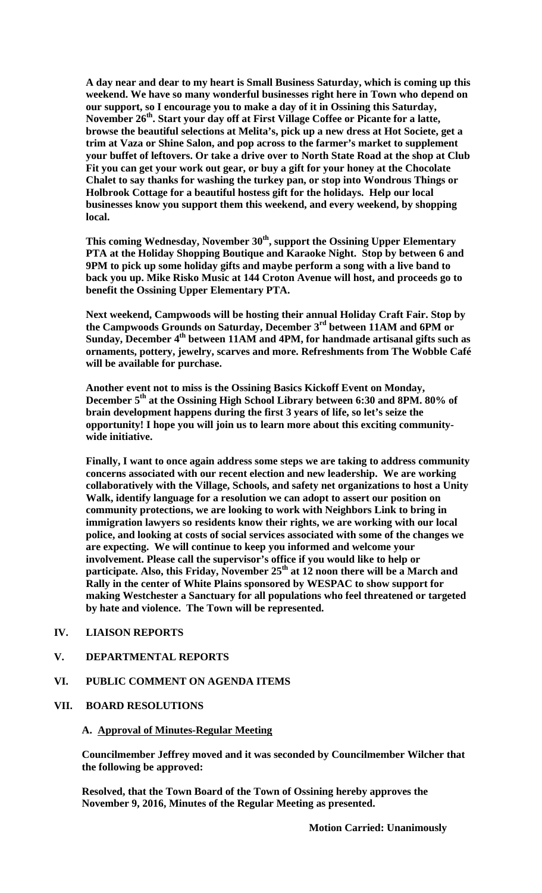**A day near and dear to my heart is Small Business Saturday, which is coming up this weekend. We have so many wonderful businesses right here in Town who depend on our support, so I encourage you to make a day of it in Ossining this Saturday,**  November 26<sup>th</sup>. Start your day off at First Village Coffee or Picante for a latte, **browse the beautiful selections at Melita's, pick up a new dress at Hot Societe, get a trim at Vaza or Shine Salon, and pop across to the farmer's market to supplement your buffet of leftovers. Or take a drive over to North State Road at the shop at Club Fit you can get your work out gear, or buy a gift for your honey at the Chocolate Chalet to say thanks for washing the turkey pan, or stop into Wondrous Things or Holbrook Cottage for a beautiful hostess gift for the holidays. Help our local businesses know you support them this weekend, and every weekend, by shopping local.** 

This coming Wednesday, November 30<sup>th</sup>, support the Ossining Upper Elementary **PTA at the Holiday Shopping Boutique and Karaoke Night. Stop by between 6 and 9PM to pick up some holiday gifts and maybe perform a song with a live band to back you up. Mike Risko Music at 144 Croton Avenue will host, and proceeds go to benefit the Ossining Upper Elementary PTA.** 

**Next weekend, Campwoods will be hosting their annual Holiday Craft Fair. Stop by the Campwoods Grounds on Saturday, December 3rd between 11AM and 6PM or Sunday, December 4th between 11AM and 4PM, for handmade artisanal gifts such as ornaments, pottery, jewelry, scarves and more. Refreshments from The Wobble Café will be available for purchase.** 

**Another event not to miss is the Ossining Basics Kickoff Event on Monday, December 5th at the Ossining High School Library between 6:30 and 8PM. 80% of brain development happens during the first 3 years of life, so let's seize the opportunity! I hope you will join us to learn more about this exciting communitywide initiative.** 

**Finally, I want to once again address some steps we are taking to address community concerns associated with our recent election and new leadership. We are working collaboratively with the Village, Schools, and safety net organizations to host a Unity Walk, identify language for a resolution we can adopt to assert our position on community protections, we are looking to work with Neighbors Link to bring in immigration lawyers so residents know their rights, we are working with our local police, and looking at costs of social services associated with some of the changes we are expecting. We will continue to keep you informed and welcome your involvement. Please call the supervisor's office if you would like to help or**  participate. Also, this Friday, November 25<sup>th</sup> at 12 noon there will be a March and **Rally in the center of White Plains sponsored by WESPAC to show support for making Westchester a Sanctuary for all populations who feel threatened or targeted by hate and violence. The Town will be represented.** 

## **IV. LIAISON REPORTS**

#### **V. DEPARTMENTAL REPORTS**

#### **VI. PUBLIC COMMENT ON AGENDA ITEMS**

## **VII. BOARD RESOLUTIONS**

#### **A. Approval of Minutes-Regular Meeting**

**Councilmember Jeffrey moved and it was seconded by Councilmember Wilcher that the following be approved:** 

**Resolved, that the Town Board of the Town of Ossining hereby approves the November 9, 2016, Minutes of the Regular Meeting as presented.** 

 **Motion Carried: Unanimously**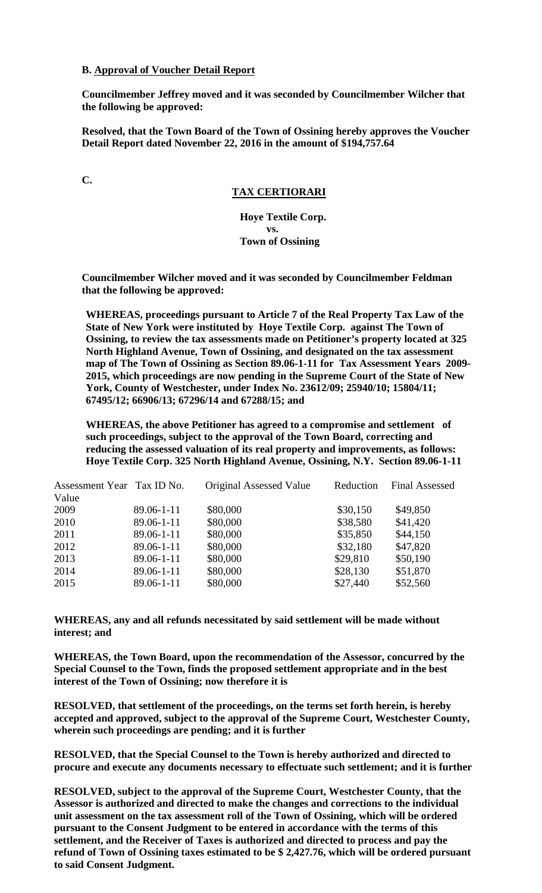#### **B. Approval of Voucher Detail Report**

**Councilmember Jeffrey moved and it was seconded by Councilmember Wilcher that the following be approved:** 

**Resolved, that the Town Board of the Town of Ossining hereby approves the Voucher Detail Report dated November 22, 2016 in the amount of \$194,757.64** 

**C.** 

## **TAX CERTIORARI**

 **Hoye Textile Corp. vs. Town of Ossining** 

**Councilmember Wilcher moved and it was seconded by Councilmember Feldman that the following be approved:** 

**WHEREAS, proceedings pursuant to Article 7 of the Real Property Tax Law of the State of New York were instituted by Hoye Textile Corp. against The Town of Ossining, to review the tax assessments made on Petitioner's property located at 325 North Highland Avenue, Town of Ossining, and designated on the tax assessment map of The Town of Ossining as Section 89.06-1-11 for Tax Assessment Years 2009- 2015, which proceedings are now pending in the Supreme Court of the State of New York, County of Westchester, under Index No. 23612/09; 25940/10; 15804/11; 67495/12; 66906/13; 67296/14 and 67288/15; and** 

**WHEREAS, the above Petitioner has agreed to a compromise and settlement of such proceedings, subject to the approval of the Town Board, correcting and reducing the assessed valuation of its real property and improvements, as follows: Hoye Textile Corp. 325 North Highland Avenue, Ossining, N.Y. Section 89.06-1-11** 

| Assessment Year Tax ID No. | Original Assessed Value | Reduction | <b>Final Assessed</b> |
|----------------------------|-------------------------|-----------|-----------------------|
|                            |                         |           |                       |
| 89.06-1-11                 | \$80,000                | \$30,150  | \$49,850              |
| 89.06-1-11                 | \$80,000                | \$38,580  | \$41,420              |
| 89.06-1-11                 | \$80,000                | \$35,850  | \$44,150              |
| 89.06-1-11                 | \$80,000                | \$32,180  | \$47,820              |
| 89.06-1-11                 | \$80,000                | \$29,810  | \$50,190              |
| 89.06-1-11                 | \$80,000                | \$28,130  | \$51,870              |
| 89.06-1-11                 | \$80,000                | \$27,440  | \$52,560              |
|                            |                         |           |                       |

**WHEREAS, any and all refunds necessitated by said settlement will be made without interest; and** 

**WHEREAS, the Town Board, upon the recommendation of the Assessor, concurred by the Special Counsel to the Town, finds the proposed settlement appropriate and in the best interest of the Town of Ossining; now therefore it is** 

**RESOLVED, that settlement of the proceedings, on the terms set forth herein, is hereby accepted and approved, subject to the approval of the Supreme Court, Westchester County, wherein such proceedings are pending; and it is further** 

**RESOLVED, that the Special Counsel to the Town is hereby authorized and directed to procure and execute any documents necessary to effectuate such settlement; and it is further** 

**RESOLVED, subject to the approval of the Supreme Court, Westchester County, that the Assessor is authorized and directed to make the changes and corrections to the individual unit assessment on the tax assessment roll of the Town of Ossining, which will be ordered pursuant to the Consent Judgment to be entered in accordance with the terms of this settlement, and the Receiver of Taxes is authorized and directed to process and pay the refund of Town of Ossining taxes estimated to be \$ 2,427.76, which will be ordered pursuant to said Consent Judgment.**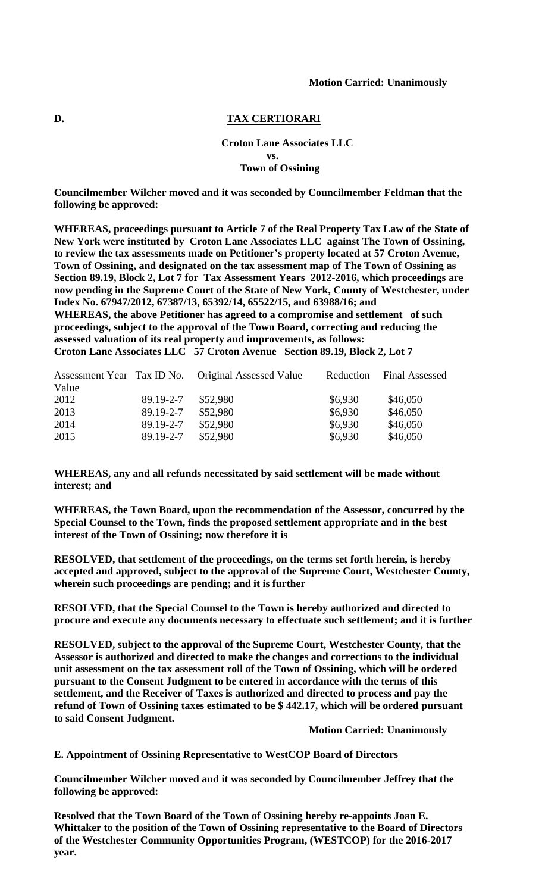#### **D. TAX CERTIORARI**

## **Croton Lane Associates LLC vs. Town of Ossining**

**Councilmember Wilcher moved and it was seconded by Councilmember Feldman that the following be approved:** 

**WHEREAS, proceedings pursuant to Article 7 of the Real Property Tax Law of the State of New York were instituted by Croton Lane Associates LLC against The Town of Ossining, to review the tax assessments made on Petitioner's property located at 57 Croton Avenue, Town of Ossining, and designated on the tax assessment map of The Town of Ossining as Section 89.19, Block 2, Lot 7 for Tax Assessment Years 2012-2016, which proceedings are now pending in the Supreme Court of the State of New York, County of Westchester, under Index No. 67947/2012, 67387/13, 65392/14, 65522/15, and 63988/16; and WHEREAS, the above Petitioner has agreed to a compromise and settlement of such proceedings, subject to the approval of the Town Board, correcting and reducing the assessed valuation of its real property and improvements, as follows: Croton Lane Associates LLC 57 Croton Avenue Section 89.19, Block 2, Lot 7** 

|       |           | Assessment Year Tax ID No. Original Assessed Value | Reduction | <b>Final Assessed</b> |
|-------|-----------|----------------------------------------------------|-----------|-----------------------|
| Value |           |                                                    |           |                       |
| 2012  | 89.19-2-7 | \$52,980                                           | \$6,930   | \$46,050              |
| 2013  | 89.19-2-7 | \$52,980                                           | \$6,930   | \$46,050              |
| 2014  | 89.19-2-7 | \$52,980                                           | \$6,930   | \$46,050              |
| 2015  | 89.19-2-7 | \$52,980                                           | \$6,930   | \$46,050              |

**WHEREAS, any and all refunds necessitated by said settlement will be made without interest; and** 

**WHEREAS, the Town Board, upon the recommendation of the Assessor, concurred by the Special Counsel to the Town, finds the proposed settlement appropriate and in the best interest of the Town of Ossining; now therefore it is** 

**RESOLVED, that settlement of the proceedings, on the terms set forth herein, is hereby accepted and approved, subject to the approval of the Supreme Court, Westchester County, wherein such proceedings are pending; and it is further** 

**RESOLVED, that the Special Counsel to the Town is hereby authorized and directed to procure and execute any documents necessary to effectuate such settlement; and it is further** 

**RESOLVED, subject to the approval of the Supreme Court, Westchester County, that the Assessor is authorized and directed to make the changes and corrections to the individual unit assessment on the tax assessment roll of the Town of Ossining, which will be ordered pursuant to the Consent Judgment to be entered in accordance with the terms of this settlement, and the Receiver of Taxes is authorized and directed to process and pay the refund of Town of Ossining taxes estimated to be \$ 442.17, which will be ordered pursuant to said Consent Judgment.** 

 **Motion Carried: Unanimously** 

#### **E. Appointment of Ossining Representative to WestCOP Board of Directors**

**Councilmember Wilcher moved and it was seconded by Councilmember Jeffrey that the following be approved:** 

**Resolved that the Town Board of the Town of Ossining hereby re-appoints Joan E. Whittaker to the position of the Town of Ossining representative to the Board of Directors of the Westchester Community Opportunities Program, (WESTCOP) for the 2016-2017 year.**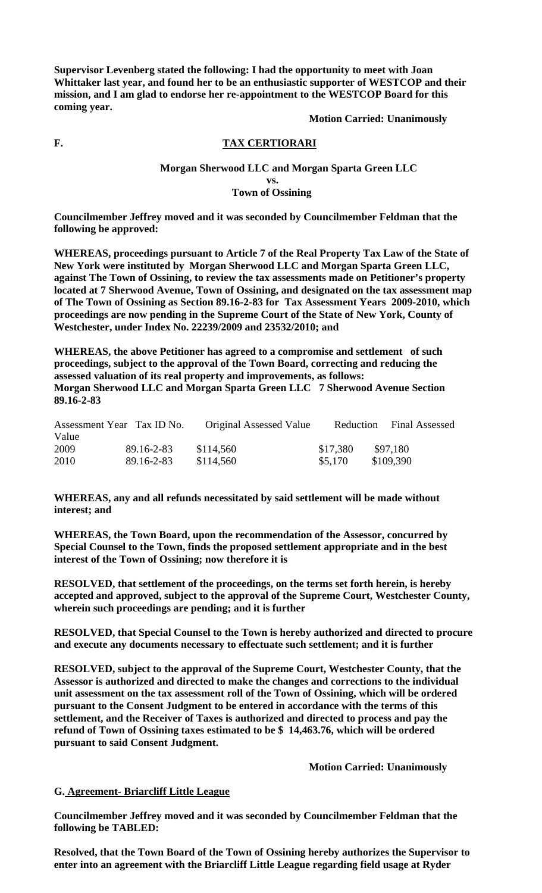**Supervisor Levenberg stated the following: I had the opportunity to meet with Joan Whittaker last year, and found her to be an enthusiastic supporter of WESTCOP and their mission, and I am glad to endorse her re-appointment to the WESTCOP Board for this coming year.** 

 **Motion Carried: Unanimously** 

# **F. TAX CERTIORARI**

## **Morgan Sherwood LLC and Morgan Sparta Green LLC vs. Town of Ossining**

**Councilmember Jeffrey moved and it was seconded by Councilmember Feldman that the following be approved:** 

**WHEREAS, proceedings pursuant to Article 7 of the Real Property Tax Law of the State of New York were instituted by Morgan Sherwood LLC and Morgan Sparta Green LLC, against The Town of Ossining, to review the tax assessments made on Petitioner's property located at 7 Sherwood Avenue, Town of Ossining, and designated on the tax assessment map of The Town of Ossining as Section 89.16-2-83 for Tax Assessment Years 2009-2010, which proceedings are now pending in the Supreme Court of the State of New York, County of Westchester, under Index No. 22239/2009 and 23532/2010; and** 

**WHEREAS, the above Petitioner has agreed to a compromise and settlement of such proceedings, subject to the approval of the Town Board, correcting and reducing the assessed valuation of its real property and improvements, as follows: Morgan Sherwood LLC and Morgan Sparta Green LLC 7 Sherwood Avenue Section 89.16-2-83** 

| Assessment Year Tax ID No. |            | Original Assessed Value | Reduction | <b>Final Assessed</b> |
|----------------------------|------------|-------------------------|-----------|-----------------------|
| Value                      |            |                         |           |                       |
| 2009                       | 89.16-2-83 | \$114,560               | \$17,380  | \$97.180              |
| 2010                       | 89.16-2-83 | \$114,560               | \$5,170   | \$109,390             |

**WHEREAS, any and all refunds necessitated by said settlement will be made without interest; and** 

**WHEREAS, the Town Board, upon the recommendation of the Assessor, concurred by Special Counsel to the Town, finds the proposed settlement appropriate and in the best interest of the Town of Ossining; now therefore it is** 

**RESOLVED, that settlement of the proceedings, on the terms set forth herein, is hereby accepted and approved, subject to the approval of the Supreme Court, Westchester County, wherein such proceedings are pending; and it is further** 

**RESOLVED, that Special Counsel to the Town is hereby authorized and directed to procure and execute any documents necessary to effectuate such settlement; and it is further** 

**RESOLVED, subject to the approval of the Supreme Court, Westchester County, that the Assessor is authorized and directed to make the changes and corrections to the individual unit assessment on the tax assessment roll of the Town of Ossining, which will be ordered pursuant to the Consent Judgment to be entered in accordance with the terms of this settlement, and the Receiver of Taxes is authorized and directed to process and pay the refund of Town of Ossining taxes estimated to be \$ 14,463.76, which will be ordered pursuant to said Consent Judgment.** 

 **Motion Carried: Unanimously** 

## **G. Agreement- Briarcliff Little League**

**Councilmember Jeffrey moved and it was seconded by Councilmember Feldman that the following be TABLED:** 

**Resolved, that the Town Board of the Town of Ossining hereby authorizes the Supervisor to enter into an agreement with the Briarcliff Little League regarding field usage at Ryder**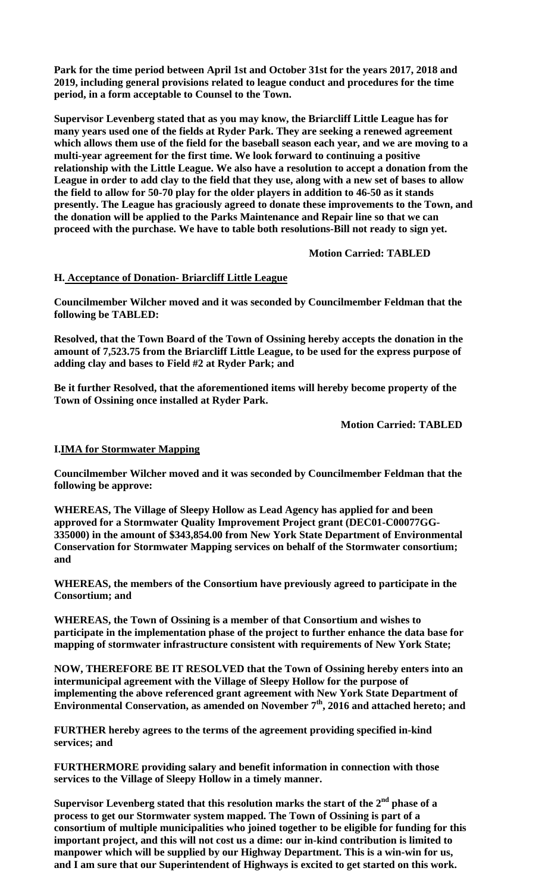**Park for the time period between April 1st and October 31st for the years 2017, 2018 and 2019, including general provisions related to league conduct and procedures for the time period, in a form acceptable to Counsel to the Town.** 

**Supervisor Levenberg stated that as you may know, the Briarcliff Little League has for many years used one of the fields at Ryder Park. They are seeking a renewed agreement which allows them use of the field for the baseball season each year, and we are moving to a multi-year agreement for the first time. We look forward to continuing a positive relationship with the Little League. We also have a resolution to accept a donation from the League in order to add clay to the field that they use, along with a new set of bases to allow the field to allow for 50-70 play for the older players in addition to 46-50 as it stands presently. The League has graciously agreed to donate these improvements to the Town, and the donation will be applied to the Parks Maintenance and Repair line so that we can proceed with the purchase. We have to table both resolutions-Bill not ready to sign yet.** 

 **Motion Carried: TABLED** 

#### **H. Acceptance of Donation- Briarcliff Little League**

**Councilmember Wilcher moved and it was seconded by Councilmember Feldman that the following be TABLED:** 

**Resolved, that the Town Board of the Town of Ossining hereby accepts the donation in the amount of 7,523.75 from the Briarcliff Little League, to be used for the express purpose of adding clay and bases to Field #2 at Ryder Park; and** 

**Be it further Resolved, that the aforementioned items will hereby become property of the Town of Ossining once installed at Ryder Park.** 

 **Motion Carried: TABLED** 

#### **I.IMA for Stormwater Mapping**

**Councilmember Wilcher moved and it was seconded by Councilmember Feldman that the following be approve:** 

**WHEREAS, The Village of Sleepy Hollow as Lead Agency has applied for and been approved for a Stormwater Quality Improvement Project grant (DEC01-C00077GG-335000) in the amount of \$343,854.00 from New York State Department of Environmental Conservation for Stormwater Mapping services on behalf of the Stormwater consortium; and** 

**WHEREAS, the members of the Consortium have previously agreed to participate in the Consortium; and** 

**WHEREAS, the Town of Ossining is a member of that Consortium and wishes to participate in the implementation phase of the project to further enhance the data base for mapping of stormwater infrastructure consistent with requirements of New York State;** 

**NOW, THEREFORE BE IT RESOLVED that the Town of Ossining hereby enters into an intermunicipal agreement with the Village of Sleepy Hollow for the purpose of implementing the above referenced grant agreement with New York State Department of**  Environmental Conservation, as amended on November 7<sup>th</sup>, 2016 and attached hereto; and

**FURTHER hereby agrees to the terms of the agreement providing specified in-kind services; and** 

**FURTHERMORE providing salary and benefit information in connection with those services to the Village of Sleepy Hollow in a timely manner.** 

Supervisor Levenberg stated that this resolution marks the start of the 2<sup>nd</sup> phase of a **process to get our Stormwater system mapped. The Town of Ossining is part of a consortium of multiple municipalities who joined together to be eligible for funding for this important project, and this will not cost us a dime: our in-kind contribution is limited to manpower which will be supplied by our Highway Department. This is a win-win for us, and I am sure that our Superintendent of Highways is excited to get started on this work.**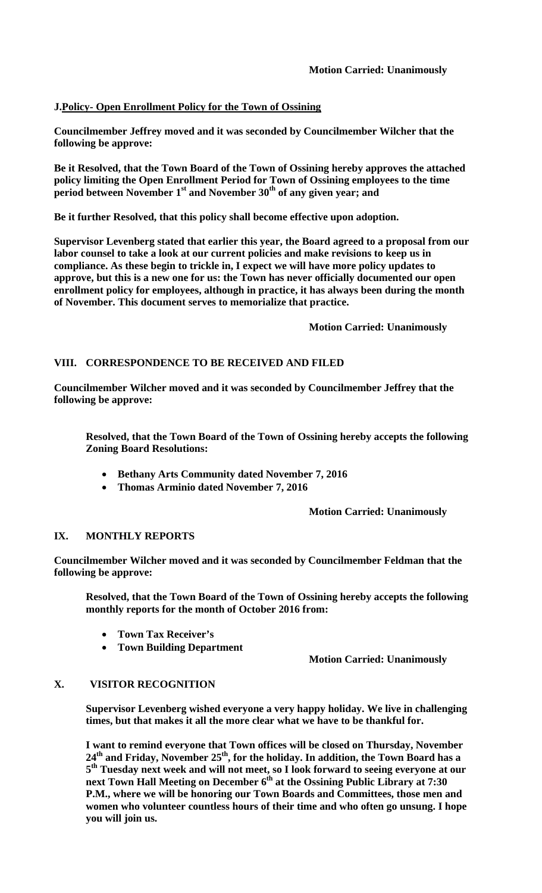## **J.Policy- Open Enrollment Policy for the Town of Ossining**

**Councilmember Jeffrey moved and it was seconded by Councilmember Wilcher that the following be approve:** 

**Be it Resolved, that the Town Board of the Town of Ossining hereby approves the attached policy limiting the Open Enrollment Period for Town of Ossining employees to the time**  period between November 1<sup>st</sup> and November 30<sup>th</sup> of any given year; and

**Be it further Resolved, that this policy shall become effective upon adoption.** 

**Supervisor Levenberg stated that earlier this year, the Board agreed to a proposal from our labor counsel to take a look at our current policies and make revisions to keep us in compliance. As these begin to trickle in, I expect we will have more policy updates to approve, but this is a new one for us: the Town has never officially documented our open enrollment policy for employees, although in practice, it has always been during the month of November. This document serves to memorialize that practice.** 

 **Motion Carried: Unanimously** 

# **VIII. CORRESPONDENCE TO BE RECEIVED AND FILED**

**Councilmember Wilcher moved and it was seconded by Councilmember Jeffrey that the following be approve:** 

**Resolved, that the Town Board of the Town of Ossining hereby accepts the following Zoning Board Resolutions:** 

- **Bethany Arts Community dated November 7, 2016**
- **Thomas Arminio dated November 7, 2016**

 **Motion Carried: Unanimously** 

## **IX. MONTHLY REPORTS**

**Councilmember Wilcher moved and it was seconded by Councilmember Feldman that the following be approve:** 

**Resolved, that the Town Board of the Town of Ossining hereby accepts the following monthly reports for the month of October 2016 from:** 

- **Town Tax Receiver's**
- **Town Building Department**

**Motion Carried: Unanimously** 

# **X. VISITOR RECOGNITION**

**Supervisor Levenberg wished everyone a very happy holiday. We live in challenging times, but that makes it all the more clear what we have to be thankful for.** 

**I want to remind everyone that Town offices will be closed on Thursday, November**  24<sup>th</sup> and Friday, November 25<sup>th</sup>, for the holiday. In addition, the Town Board has a **5th Tuesday next week and will not meet, so I look forward to seeing everyone at our**  next Town Hall Meeting on December 6<sup>th</sup> at the Ossining Public Library at 7:30 **P.M., where we will be honoring our Town Boards and Committees, those men and women who volunteer countless hours of their time and who often go unsung. I hope you will join us.**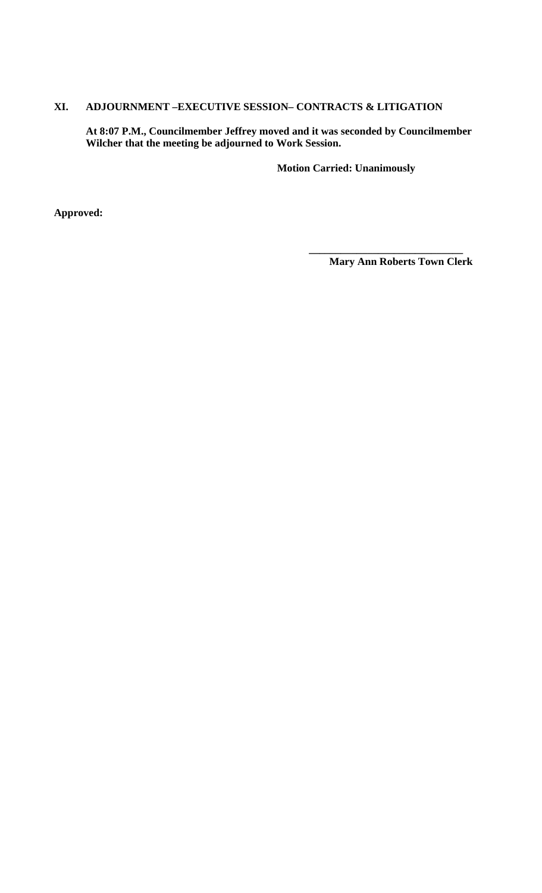# **XI. ADJOURNMENT –EXECUTIVE SESSION– CONTRACTS & LITIGATION**

**At 8:07 P.M., Councilmember Jeffrey moved and it was seconded by Councilmember Wilcher that the meeting be adjourned to Work Session.** 

**Motion Carried: Unanimously**

**Approved:** 

 **Mary Ann Roberts Town Clerk** 

**\_\_\_\_\_\_\_\_\_\_\_\_\_\_\_\_\_\_\_\_\_\_\_\_\_\_\_\_\_**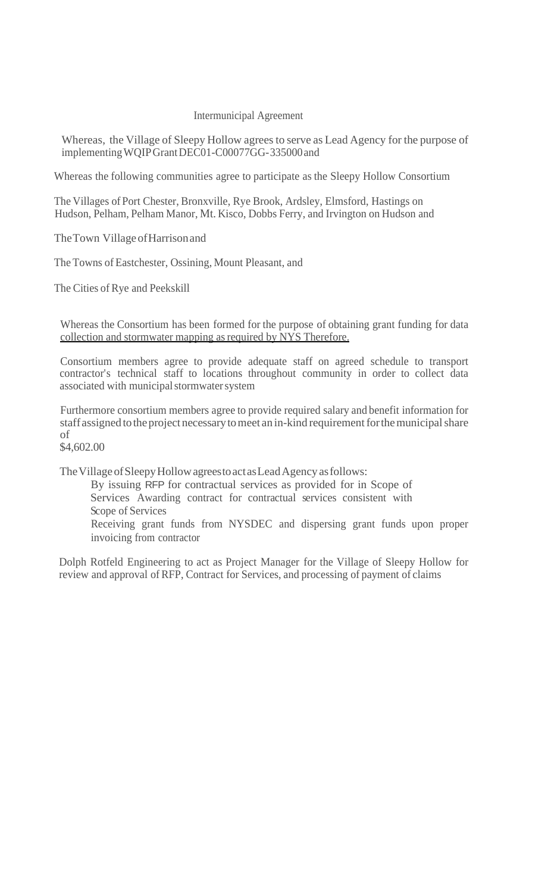# Intermunicipal Agreement

Whereas, the Village of Sleepy Hollow agrees to serve as Lead Agency for the purpose of implementing WQIP Grant DEC01-C00077GG- 335000 and

Whereas the following communities agree to participate as the Sleepy Hollow Consortium

The Villages of Port Chester, Bronxville, Rye Brook, Ardsley, Elmsford, Hastings on Hudson, Pelham, Pelham Manor, Mt. Kisco, Dobbs Ferry, and Irvington on Hudson and

The Town Village of Harrison and

The Towns of Eastchester, Ossining, Mount Pleasant, and

The Cities of Rye and Peekskill

Whereas the Consortium has been formed for the purpose of obtaining grant funding for data collection and stormwater mapping as required by NYS Therefore.

Consortium members agree to provide adequate staff on agreed schedule to transport contractor's technical staff to locations throughout community in order to collect data associated with municipal stormwater system

Furthermore consortium members agree to provide required salary and benefit information for staff assigned to the project necessary to meet an in-kind requirement for the municipal share of

\$4,602.00

The Village of Sleepy Hollow agrees to act as Lead Agency as follows:

By issuing RFP for contractual services as provided for in Scope of Services Awarding contract for contractual services consistent with Scope of Services Receiving grant funds from NYSDEC and dispersing grant funds upon proper

invoicing from contractor

Dolph Rotfeld Engineering to act as Project Manager for the Village of Sleepy Hollow for review and approval of RFP, Contract for Services, and processing of payment of claims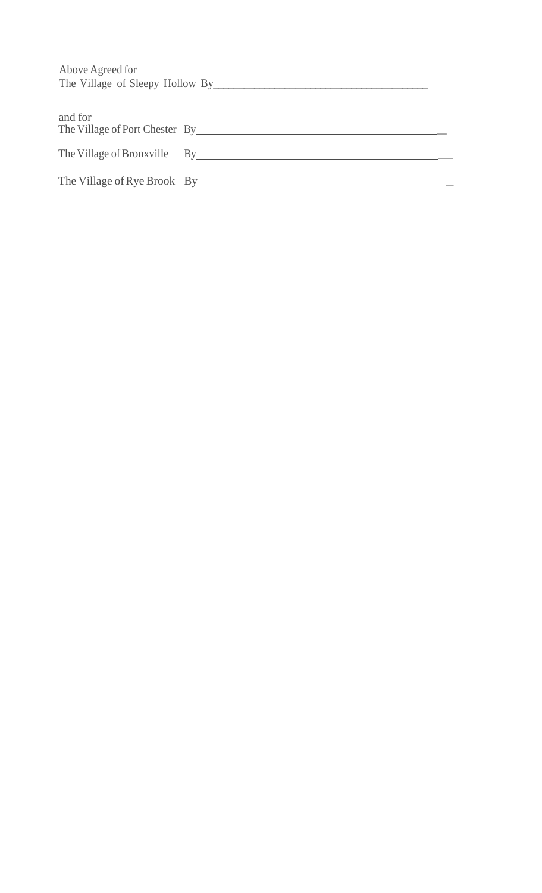| Above Agreed for                                                         |  |
|--------------------------------------------------------------------------|--|
| and for<br>The Village of Port Chester By The Village of Port Chester By |  |
| The Village of Bronxville By By                                          |  |
|                                                                          |  |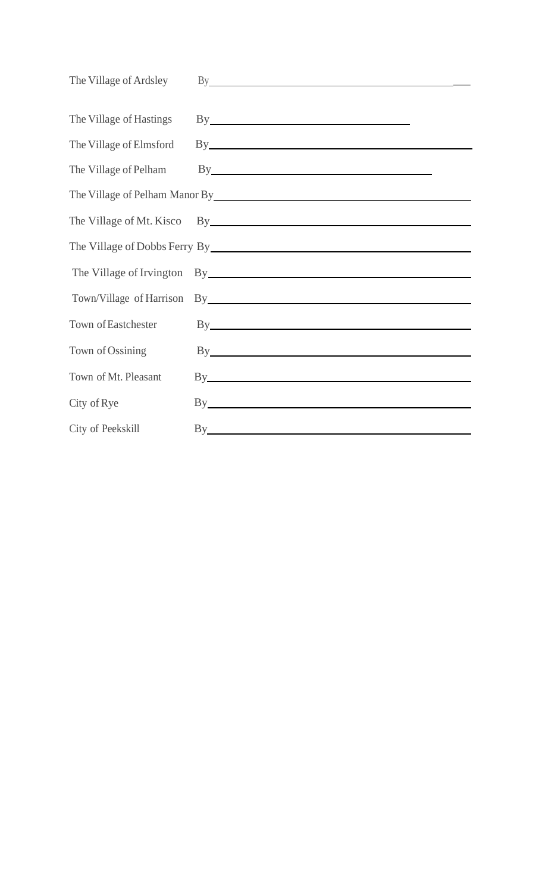| The Village of Ardsley  | By <u>such a series of the series of the series of the series of the series of the series of the series of the series of the series of the series of the series of the series of the series of the series of the series of the s</u> |
|-------------------------|--------------------------------------------------------------------------------------------------------------------------------------------------------------------------------------------------------------------------------------|
| The Village of Hastings | By <u>service</u> and the service of the service of the service of the service of the service of the service of the service of the service of the service of the service of the service of the service of the service of the servic  |
| The Village of Elmsford | By the contract of the contract of the contract of the contract of the contract of the contract of the contract of the contract of the contract of the contract of the contract of the contract of the contract of the contrac       |
| The Village of Pelham   | By <u>such and the set of the set of the set of the set of the set of the set of the set of the set of the set of the set of the set of the set of the set of the set of the set of the set of the set of the set of the set of </u> |
|                         | The Village of Pelham Manor By Manual Communication of Pelham Manor By                                                                                                                                                               |
|                         |                                                                                                                                                                                                                                      |
|                         | The Village of Dobbs Ferry By Manual Account of the Village of Dobbs Ferry By                                                                                                                                                        |
|                         | The Village of Irvington By Samman By Service Communication of Irvington By                                                                                                                                                          |
|                         | Town/Village of Harrison By Management of Harrison By                                                                                                                                                                                |
| Town of Eastchester     | By the contract of the contract of the contract of the contract of the contract of the contract of the contract of the contract of the contract of the contract of the contract of the contract of the contract of the contrac       |
| Town of Ossining        | By the contract of the contract of the contract of the contract of the contract of the contract of the contract of the contract of the contract of the contract of the contract of the contract of the contract of the contrac       |
| Town of Mt. Pleasant    | By the contract of the contract of the contract of the contract of the contract of the contract of the contract of the contract of the contract of the contract of the contract of the contract of the contract of the contrac       |
| City of Rye             | By the contract of the contract of the contract of the contract of the contract of the contract of the contract of the contract of the contract of the contract of the contract of the contract of the contract of the contrac       |
| City of Peekskill       | By the contract of the contract of the contract of the contract of the contract of the contract of the contract of the contract of the contract of the contract of the contract of the contract of the contract of the contrac       |